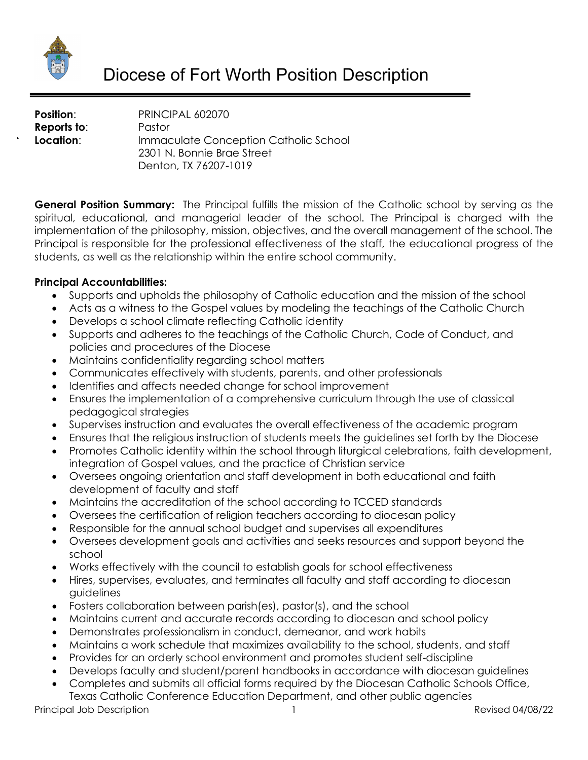

**Position:** PRINCIPAL 602070 **Reports to**: Pastor **Location:** Immaculate Conception Catholic School 2301 N. Bonnie Brae Street Denton, TX 76207-1019

**General Position Summary:** The Principal fulfills the mission of the Catholic school by serving as the spiritual, educational, and managerial leader of the school. The Principal is charged with the implementation of the philosophy, mission, objectives, and the overall management of the school. The Principal is responsible for the professional effectiveness of the staff, the educational progress of the students, as well as the relationship within the entire school community.

#### **Principal Accountabilities:**

- Supports and upholds the philosophy of Catholic education and the mission of the school
- Acts as a witness to the Gospel values by modeling the teachings of the Catholic Church
- Develops a school climate reflecting Catholic identity
- Supports and adheres to the teachings of the Catholic Church, Code of Conduct, and policies and procedures of the Diocese
- Maintains confidentiality regarding school matters
- Communicates effectively with students, parents, and other professionals
- Identifies and affects needed change for school improvement
- Ensures the implementation of a comprehensive curriculum through the use of classical pedagogical strategies
- Supervises instruction and evaluates the overall effectiveness of the academic program
- Ensures that the religious instruction of students meets the guidelines set forth by the Diocese
- Promotes Catholic identity within the school through liturgical celebrations, faith development, integration of Gospel values, and the practice of Christian service
- Oversees ongoing orientation and staff development in both educational and faith development of faculty and staff
- Maintains the accreditation of the school according to TCCED standards
- Oversees the certification of religion teachers according to diocesan policy
- Responsible for the annual school budget and supervises all expenditures
- Oversees development goals and activities and seeks resources and support beyond the school
- Works effectively with the council to establish goals for school effectiveness
- Hires, supervises, evaluates, and terminates all faculty and staff according to diocesan guidelines
- Fosters collaboration between parish(es), pastor(s), and the school
- Maintains current and accurate records according to diocesan and school policy
- Demonstrates professionalism in conduct, demeanor, and work habits
- Maintains a work schedule that maximizes availability to the school, students, and staff
- Provides for an orderly school environment and promotes student self-discipline
- Develops faculty and student/parent handbooks in accordance with diocesan guidelines
- Completes and submits all official forms required by the Diocesan Catholic Schools Office, Texas Catholic Conference Education Department, and other public agencies

Principal Job Description 2008/22 2012 1 2012 1 2022 1 2022 1 2022 1 2022 1 2022 1 2022 1 2022 1 2022 1 2022 1 2022 1 2022 1 2022 1 2022 1 2022 1 2022 1 2022 1 2022 1 2022 1 2022 1 2022 1 2022 1 2022 1 2022 1 2022 1 2022 1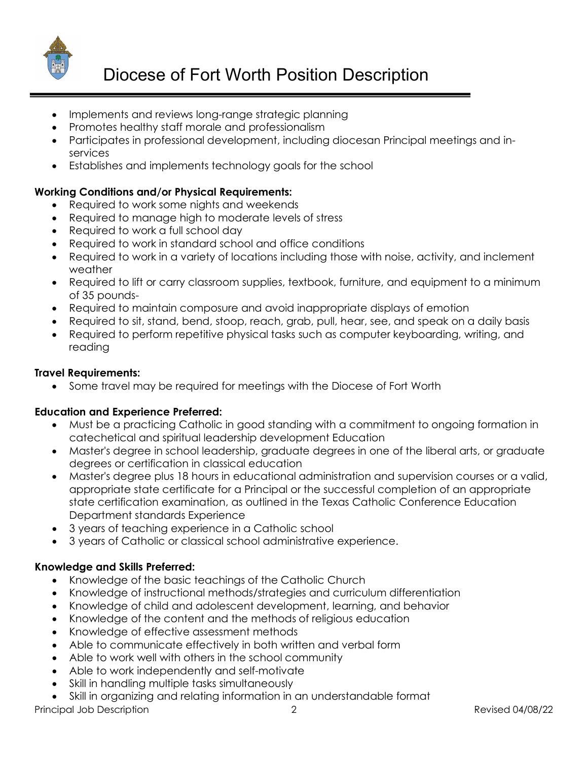

# Diocese of Fort Worth Position Description

- Implements and reviews long-range strategic planning
- Promotes healthy staff morale and professionalism
- Participates in professional development, including diocesan Principal meetings and inservices
- Establishes and implements technology goals for the school

## **Working Conditions and/or Physical Requirements:**

- Required to work some nights and weekends
- Required to manage high to moderate levels of stress
- Required to work a full school day
- Required to work in standard school and office conditions
- Required to work in a variety of locations including those with noise, activity, and inclement weather
- Required to lift or carry classroom supplies, textbook, furniture, and equipment to a minimum of 35 pounds-
- Required to maintain composure and avoid inappropriate displays of emotion
- Required to sit, stand, bend, stoop, reach, grab, pull, hear, see, and speak on a daily basis
- Required to perform repetitive physical tasks such as computer keyboarding, writing, and reading

#### **Travel Requirements:**

• Some travel may be required for meetings with the Diocese of Fort Worth

#### **Education and Experience Preferred:**

- Must be a practicing Catholic in good standing with a commitment to ongoing formation in catechetical and spiritual leadership development Education
- Master's degree in school leadership, graduate degrees in one of the liberal arts, or graduate degrees or certification in classical education
- Master's degree plus 18 hours in educational administration and supervision courses or a valid, appropriate state certificate for a Principal or the successful completion of an appropriate state certification examination, as outlined in the Texas Catholic Conference Education Department standards Experience
- 3 years of teaching experience in a Catholic school
- 3 years of Catholic or classical school administrative experience.

#### **Knowledge and Skills Preferred:**

- Knowledge of the basic teachings of the Catholic Church
- Knowledge of instructional methods/strategies and curriculum differentiation
- Knowledge of child and adolescent development, learning, and behavior
- Knowledge of the content and the methods of religious education
- Knowledge of effective assessment methods
- Able to communicate effectively in both written and verbal form
- Able to work well with others in the school community
- Able to work independently and self-motivate
- Skill in handling multiple tasks simultaneously
- Skill in organizing and relating information in an understandable format

Principal Job Description 2 2 and 2 Revised 04/08/22